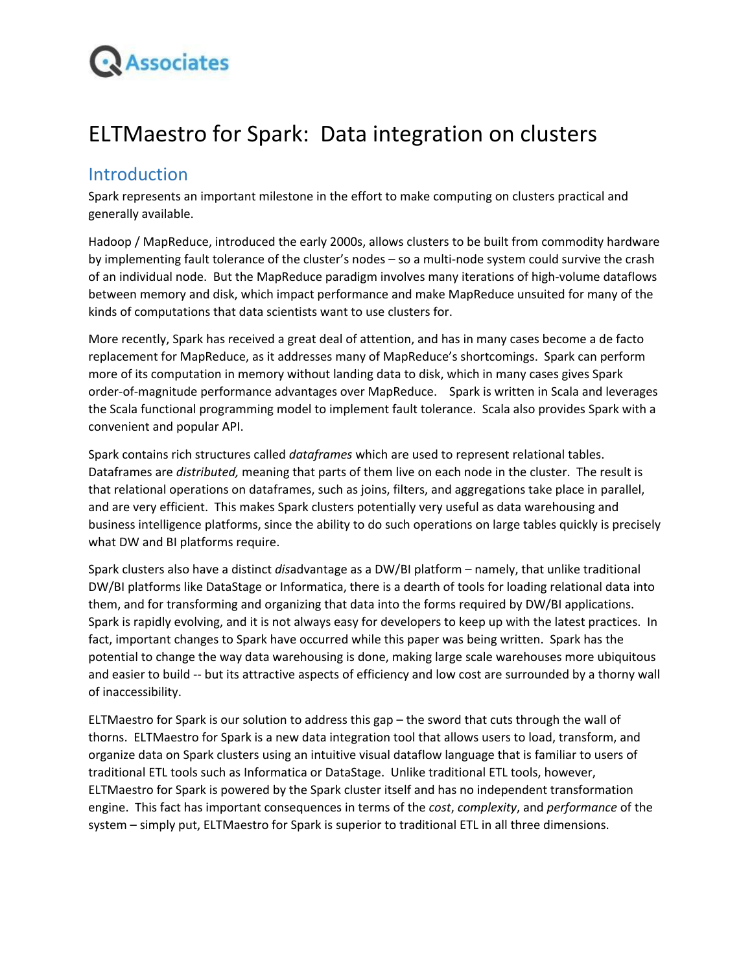

# ELTMaestro for Spark: Data integration on clusters

### Introduction

Spark represents an important milestone in the effort to make computing on clusters practical and generally available.

Hadoop / MapReduce, introduced the early 2000s, allows clusters to be built from commodity hardware by implementing fault tolerance of the cluster's nodes – so a multi-node system could survive the crash of an individual node. But the MapReduce paradigm involves many iterations of high-volume dataflows between memory and disk, which impact performance and make MapReduce unsuited for many of the kinds of computations that data scientists want to use clusters for.

More recently, Spark has received a great deal of attention, and has in many cases become a de facto replacement for MapReduce, as it addresses many of MapReduce's shortcomings. Spark can perform more of its computation in memory without landing data to disk, which in many cases gives Spark order-of-magnitude performance advantages over MapReduce. Spark is written in Scala and leverages the Scala functional programming model to implement fault tolerance. Scala also provides Spark with a convenient and popular API.

Spark contains rich structures called *dataframes* which are used to represent relational tables. Dataframes are *distributed,* meaning that parts of them live on each node in the cluster. The result is that relational operations on dataframes, such as joins, filters, and aggregations take place in parallel, and are very efficient. This makes Spark clusters potentially very useful as data warehousing and business intelligence platforms, since the ability to do such operations on large tables quickly is precisely what DW and BI platforms require.

Spark clusters also have a distinct *dis*advantage as a DW/BI platform – namely, that unlike traditional DW/BI platforms like DataStage or Informatica, there is a dearth of tools for loading relational data into them, and for transforming and organizing that data into the forms required by DW/BI applications. Spark is rapidly evolving, and it is not always easy for developers to keep up with the latest practices. In fact, important changes to Spark have occurred while this paper was being written. Spark has the potential to change the way data warehousing is done, making large scale warehouses more ubiquitous and easier to build -- but its attractive aspects of efficiency and low cost are surrounded by a thorny wall of inaccessibility.

ELTMaestro for Spark is our solution to address this gap – the sword that cuts through the wall of thorns. ELTMaestro for Spark is a new data integration tool that allows users to load, transform, and organize data on Spark clusters using an intuitive visual dataflow language that is familiar to users of traditional ETL tools such as Informatica or DataStage. Unlike traditional ETL tools, however, ELTMaestro for Spark is powered by the Spark cluster itself and has no independent transformation engine. This fact has important consequences in terms of the *cost*, *complexity*, and *performance* of the system – simply put, ELTMaestro for Spark is superior to traditional ETL in all three dimensions.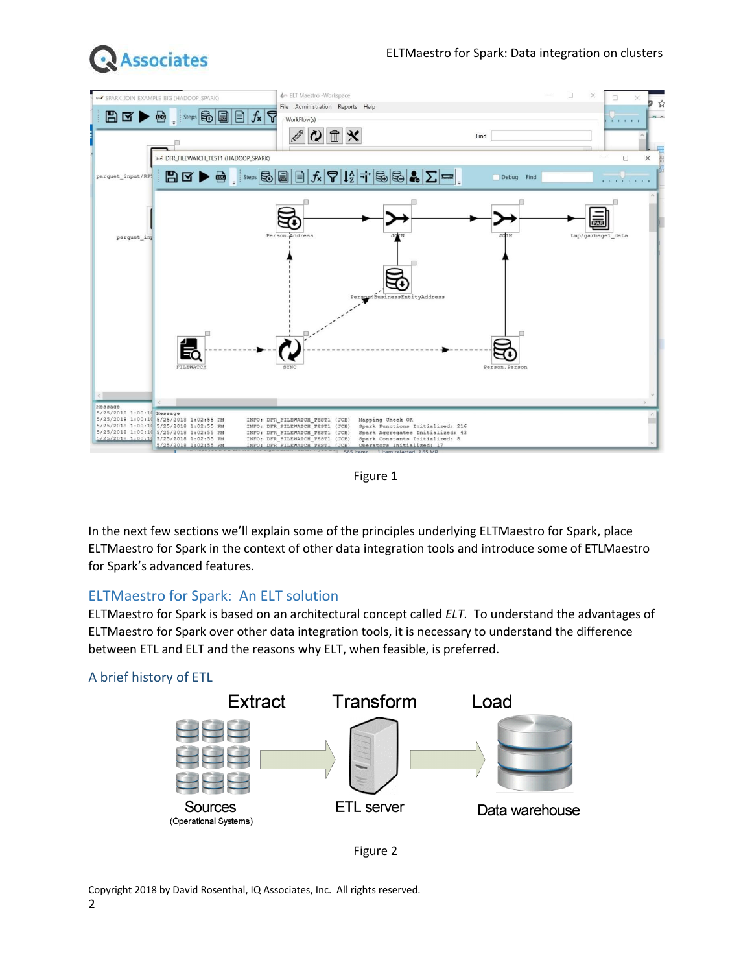



Figure 1

In the next few sections we'll explain some of the principles underlying ELTMaestro for Spark, place ELTMaestro for Spark in the context of other data integration tools and introduce some of ETLMaestro for Spark's advanced features.

### ELTMaestro for Spark: An ELT solution

ELTMaestro for Spark is based on an architectural concept called *ELT.* To understand the advantages of ELTMaestro for Spark over other data integration tools, it is necessary to understand the difference between ETL and ELT and the reasons why ELT, when feasible, is preferred.

### A brief history of ETL





Copyright 2018 by David Rosenthal, IQ Associates, Inc. All rights reserved. 2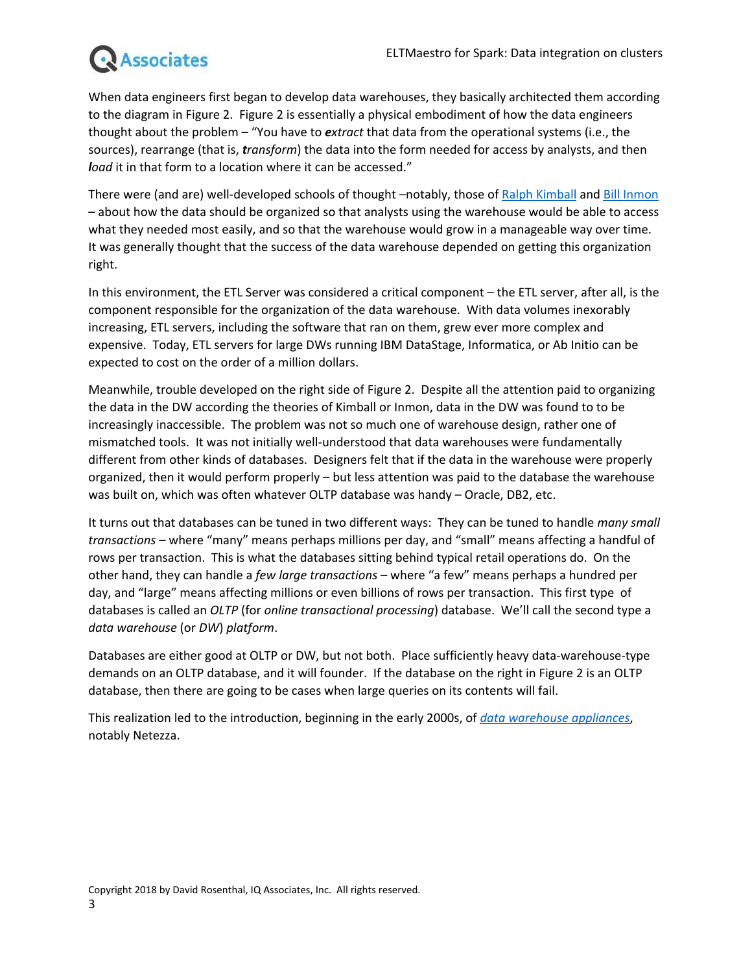# **Associates**

When data engineers first began to develop data warehouses, they basically architected them according to the diagram in Figure 2. Figure 2 is essentially a physical embodiment of how the data engineers thought about the problem – "You have to *extract* that data from the operational systems (i.e., the sources), rearrange (that is, *transform*) the data into the form needed for access by analysts, and then *load* it in that form to a location where it can be accessed."

There were (and are) well-developed schools of thought –notably, those of Ralph [Kimball](https://en.wikipedia.org/wiki/Ralph_Kimball) and Bill [Inmon](https://en.wikipedia.org/wiki/Bill_Inmon) – about how the data should be organized so that analysts using the warehouse would be able to access what they needed most easily, and so that the warehouse would grow in a manageable way over time. It was generally thought that the success of the data warehouse depended on getting this organization right.

In this environment, the ETL Server was considered a critical component – the ETL server, after all, is the component responsible for the organization of the data warehouse. With data volumes inexorably increasing, ETL servers, including the software that ran on them, grew ever more complex and expensive. Today, ETL servers for large DWs running IBM DataStage, Informatica, or Ab Initio can be expected to cost on the order of a million dollars.

Meanwhile, trouble developed on the right side of Figure 2. Despite all the attention paid to organizing the data in the DW according the theories of Kimball or Inmon, data in the DW was found to to be increasingly inaccessible. The problem was not so much one of warehouse design, rather one of mismatched tools. It was not initially well-understood that data warehouses were fundamentally different from other kinds of databases. Designers felt that if the data in the warehouse were properly organized, then it would perform properly – but less attention was paid to the database the warehouse was built on, which was often whatever OLTP database was handy – Oracle, DB2, etc.

It turns out that databases can be tuned in two different ways: They can be tuned to handle *many small transactions* – where "many" means perhaps millions per day, and "small" means affecting a handful of rows per transaction. This is what the databases sitting behind typical retail operations do. On the other hand, they can handle a *few large transactions* – where "a few" means perhaps a hundred per day, and "large" means affecting millions or even billions of rows per transaction. This first type of databases is called an *OLTP* (for *online transactional processing*) database. We'll call the second type a *data warehouse* (or *DW*) *platform*.

Databases are either good at OLTP or DW, but not both. Place sufficiently heavy data-warehouse-type demands on an OLTP database, and it will founder. If the database on the right in Figure 2 is an OLTP database, then there are going to be cases when large queries on its contents will fail.

This realization led to the introduction, beginning in the early 2000s, of *data [warehouse](https://en.wikipedia.org/wiki/Data_warehouse_appliance) appliances*, notably Netezza.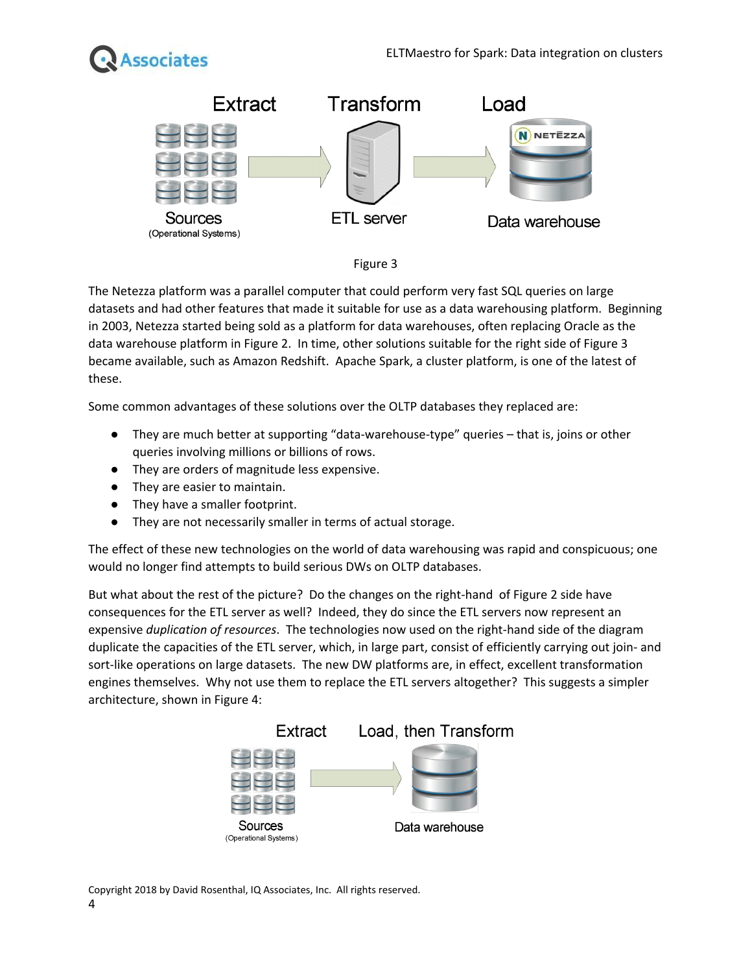





The Netezza platform was a parallel computer that could perform very fast SQL queries on large datasets and had other features that made it suitable for use as a data warehousing platform. Beginning in 2003, Netezza started being sold as a platform for data warehouses, often replacing Oracle as the data warehouse platform in Figure 2. In time, other solutions suitable for the right side of Figure 3 became available, such as Amazon Redshift. Apache Spark, a cluster platform, is one of the latest of these.

Some common advantages of these solutions over the OLTP databases they replaced are:

- They are much better at supporting "data-warehouse-type" queries that is, joins or other queries involving millions or billions of rows.
- They are orders of magnitude less expensive.
- They are easier to maintain.
- They have a smaller footprint.
- They are not necessarily smaller in terms of actual storage.

The effect of these new technologies on the world of data warehousing was rapid and conspicuous; one would no longer find attempts to build serious DWs on OLTP databases.

But what about the rest of the picture? Do the changes on the right-hand of Figure 2 side have consequences for the ETL server as well? Indeed, they do since the ETL servers now represent an expensive *duplication of resources*. The technologies now used on the right-hand side of the diagram duplicate the capacities of the ETL server, which, in large part, consist of efficiently carrying out join- and sort-like operations on large datasets. The new DW platforms are, in effect, excellent transformation engines themselves. Why not use them to replace the ETL servers altogether? This suggests a simpler architecture, shown in Figure 4:



Copyright 2018 by David Rosenthal, IQ Associates, Inc. All rights reserved. 4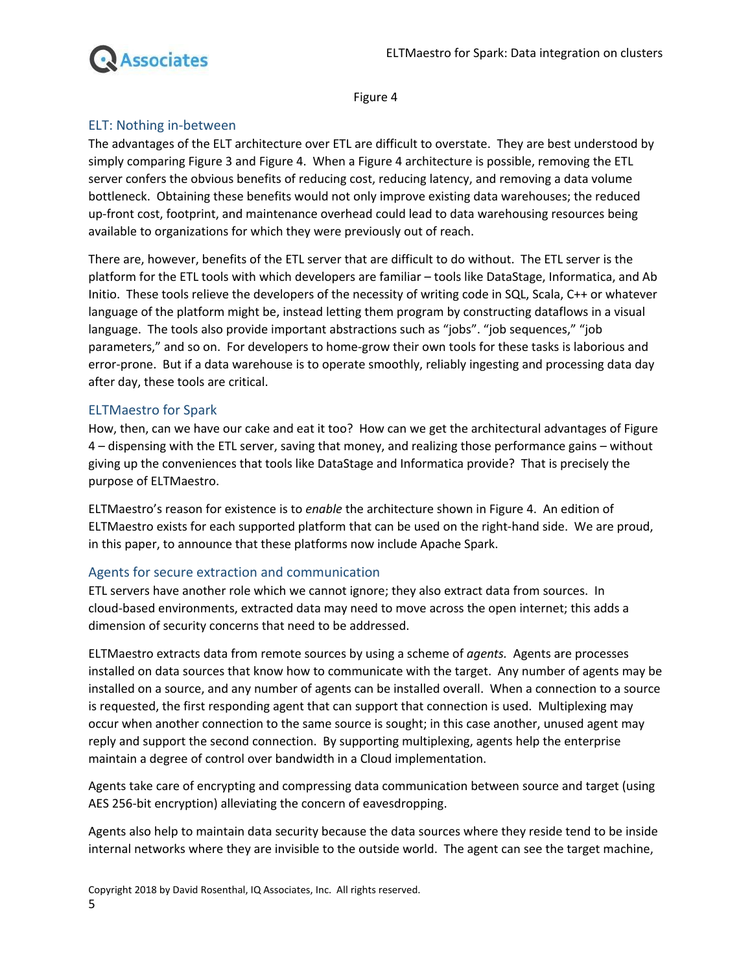

Figure 4

### ELT: Nothing in-between

The advantages of the ELT architecture over ETL are difficult to overstate. They are best understood by simply comparing Figure 3 and Figure 4. When a Figure 4 architecture is possible, removing the ETL server confers the obvious benefits of reducing cost, reducing latency, and removing a data volume bottleneck. Obtaining these benefits would not only improve existing data warehouses; the reduced up-front cost, footprint, and maintenance overhead could lead to data warehousing resources being available to organizations for which they were previously out of reach.

There are, however, benefits of the ETL server that are difficult to do without. The ETL server is the platform for the ETL tools with which developers are familiar – tools like DataStage, Informatica, and Ab Initio. These tools relieve the developers of the necessity of writing code in SQL, Scala, C++ or whatever language of the platform might be, instead letting them program by constructing dataflows in a visual language. The tools also provide important abstractions such as "jobs". "job sequences," "job parameters," and so on. For developers to home-grow their own tools for these tasks is laborious and error-prone. But if a data warehouse is to operate smoothly, reliably ingesting and processing data day after day, these tools are critical.

### ELTMaestro for Spark

How, then, can we have our cake and eat it too? How can we get the architectural advantages of Figure 4 – dispensing with the ETL server, saving that money, and realizing those performance gains – without giving up the conveniences that tools like DataStage and Informatica provide? That is precisely the purpose of ELTMaestro.

ELTMaestro's reason for existence is to *enable* the architecture shown in Figure 4. An edition of ELTMaestro exists for each supported platform that can be used on the right-hand side. We are proud, in this paper, to announce that these platforms now include Apache Spark.

#### Agents for secure extraction and communication

ETL servers have another role which we cannot ignore; they also extract data from sources. In cloud-based environments, extracted data may need to move across the open internet; this adds a dimension of security concerns that need to be addressed.

ELTMaestro extracts data from remote sources by using a scheme of *agents.* Agents are processes installed on data sources that know how to communicate with the target. Any number of agents may be installed on a source, and any number of agents can be installed overall. When a connection to a source is requested, the first responding agent that can support that connection is used. Multiplexing may occur when another connection to the same source is sought; in this case another, unused agent may reply and support the second connection. By supporting multiplexing, agents help the enterprise maintain a degree of control over bandwidth in a Cloud implementation.

Agents take care of encrypting and compressing data communication between source and target (using AES 256-bit encryption) alleviating the concern of eavesdropping.

Agents also help to maintain data security because the data sources where they reside tend to be inside internal networks where they are invisible to the outside world. The agent can see the target machine,